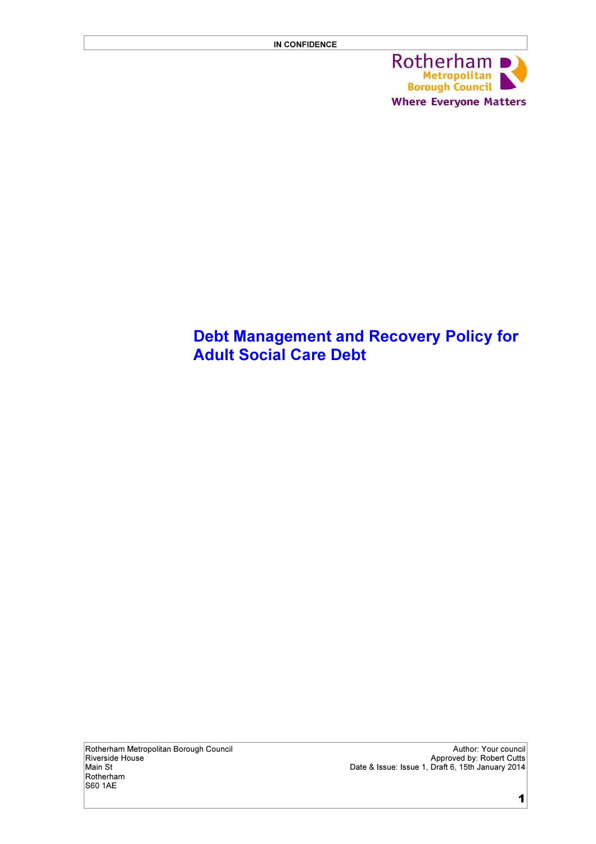

## Debt Management and Recovery Policy for Adult Social Care Debt

Rotherham S60 1AE

Rotherham Metropolitan Borough Council and the council and the council Author: Your council Author: Your council<br>Riverside House the council Approved by: Robert Cutts Riverside House Approved by: Robert Cutts Main St Date & Issue: Issue 1, Draft 6, 15th January 2014

1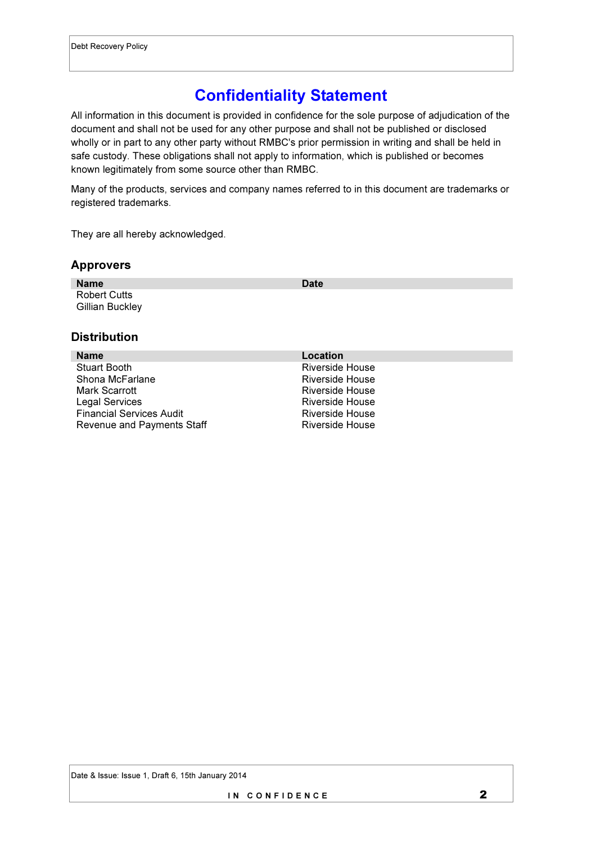# Confidentiality Statement

All information in this document is provided in confidence for the sole purpose of adjudication of the document and shall not be used for any other purpose and shall not be published or disclosed wholly or in part to any other party without RMBC's prior permission in writing and shall be held in safe custody. These obligations shall not apply to information, which is published or becomes known legitimately from some source other than RMBC.

Many of the products, services and company names referred to in this document are trademarks or registered trademarks.

They are all hereby acknowledged.

#### Approvers

| <b>Name</b>                            | Date |
|----------------------------------------|------|
| <b>Robert Cutts</b><br>Gillian Buckley |      |
|                                        |      |

#### **Distribution**

| <b>Name</b>                     | Location        |
|---------------------------------|-----------------|
| <b>Stuart Booth</b>             | Riverside House |
| Shona McFarlane                 | Riverside House |
| Mark Scarrott                   | Riverside House |
| Legal Services                  | Riverside House |
| <b>Financial Services Audit</b> | Riverside House |
| Revenue and Payments Staff      | Riverside House |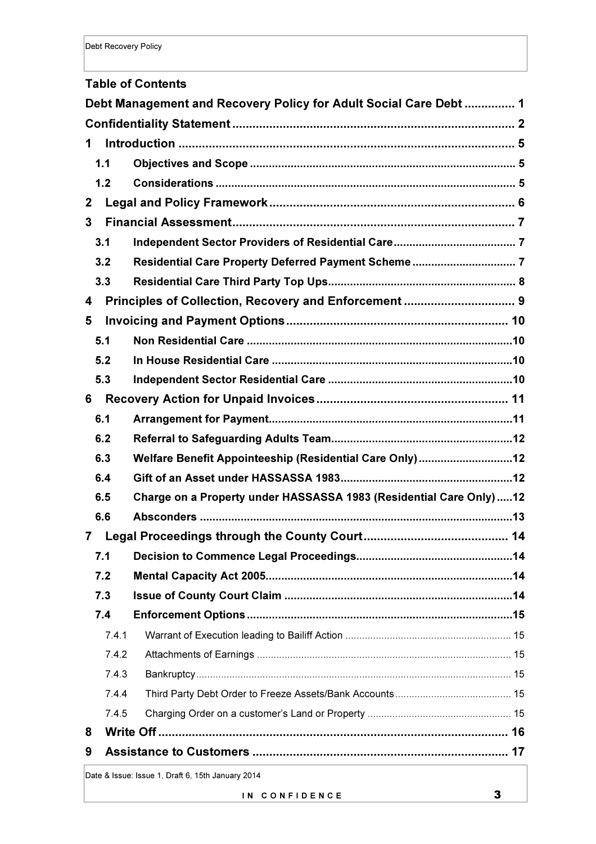#### Table of Contents

|              | Debt Management and Recovery Policy for Adult Social Care Debt 1   |  |  |  |  |
|--------------|--------------------------------------------------------------------|--|--|--|--|
|              |                                                                    |  |  |  |  |
| 1            |                                                                    |  |  |  |  |
| 1.1          |                                                                    |  |  |  |  |
| 1.2          |                                                                    |  |  |  |  |
| $\mathbf{2}$ |                                                                    |  |  |  |  |
| 3            |                                                                    |  |  |  |  |
| 3.1          |                                                                    |  |  |  |  |
| 3.2          |                                                                    |  |  |  |  |
| 3.3          |                                                                    |  |  |  |  |
| 4            | Principles of Collection, Recovery and Enforcement  9              |  |  |  |  |
| 5            |                                                                    |  |  |  |  |
| 5.1          |                                                                    |  |  |  |  |
| 5.2          |                                                                    |  |  |  |  |
| 5.3          |                                                                    |  |  |  |  |
| 6            |                                                                    |  |  |  |  |
| 6.1          |                                                                    |  |  |  |  |
| 6.2          |                                                                    |  |  |  |  |
| 6.3          | Welfare Benefit Appointeeship (Residential Care Only)12            |  |  |  |  |
| 6.4          |                                                                    |  |  |  |  |
| 6.5          | Charge on a Property under HASSASSA 1983 (Residential Care Only)12 |  |  |  |  |
| 6.6          |                                                                    |  |  |  |  |
| 7            |                                                                    |  |  |  |  |
| 7.1          |                                                                    |  |  |  |  |
| 7.2          |                                                                    |  |  |  |  |
| 7.3          |                                                                    |  |  |  |  |
| 7.4          |                                                                    |  |  |  |  |
|              | 7.4.1                                                              |  |  |  |  |
|              | 7.4.2                                                              |  |  |  |  |
|              | 7.4.3                                                              |  |  |  |  |
|              | 7.4.4                                                              |  |  |  |  |
|              | 7.4.5                                                              |  |  |  |  |
| 8            |                                                                    |  |  |  |  |
| 9            |                                                                    |  |  |  |  |
|              | Date & Issue: Issue 1, Draft 6, 15th January 2014                  |  |  |  |  |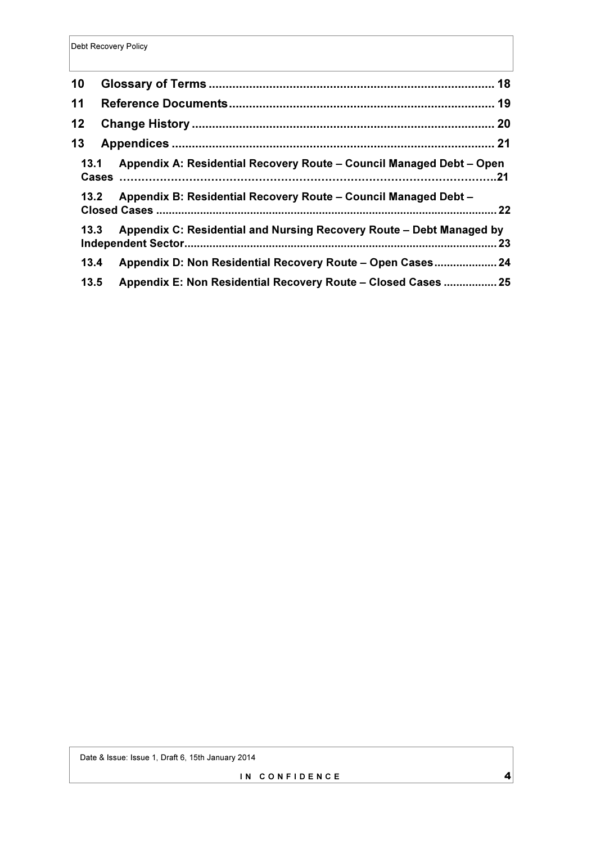| 10              |                                                                              |  |
|-----------------|------------------------------------------------------------------------------|--|
| 11              |                                                                              |  |
| 12 <sub>2</sub> |                                                                              |  |
| 13              |                                                                              |  |
| 13.1            | Appendix A: Residential Recovery Route – Council Managed Debt – Open         |  |
|                 | Appendix B: Residential Recovery Route – Council Managed Debt –<br>13.2      |  |
|                 | Appendix C: Residential and Nursing Recovery Route - Debt Managed by<br>13.3 |  |
| 13.4            | Appendix D: Non Residential Recovery Route - Open Cases 24                   |  |
| 13.5            | Appendix E: Non Residential Recovery Route - Closed Cases  25                |  |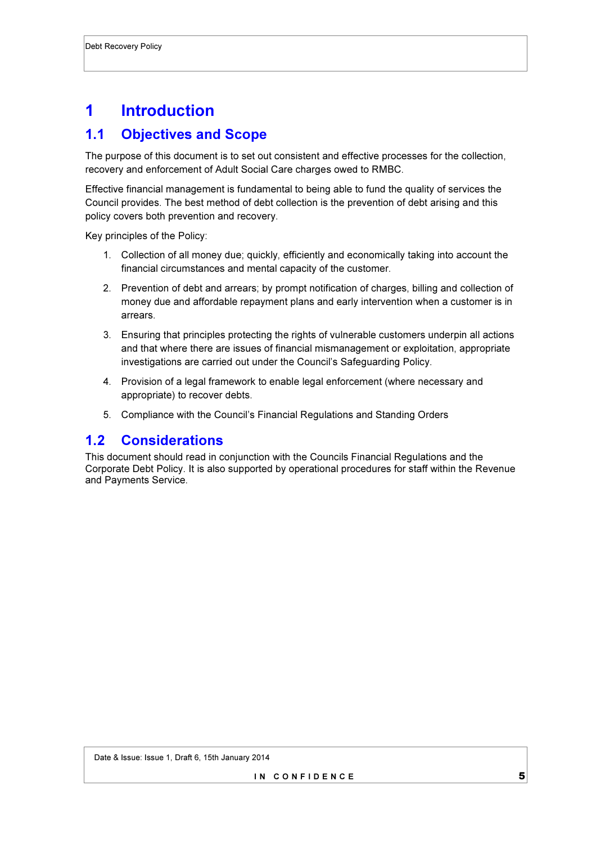# 1 Introduction

### 1.1 Objectives and Scope

The purpose of this document is to set out consistent and effective processes for the collection, recovery and enforcement of Adult Social Care charges owed to RMBC.

Effective financial management is fundamental to being able to fund the quality of services the Council provides. The best method of debt collection is the prevention of debt arising and this policy covers both prevention and recovery.

Key principles of the Policy:

- 1. Collection of all money due; quickly, efficiently and economically taking into account the financial circumstances and mental capacity of the customer.
- 2. Prevention of debt and arrears; by prompt notification of charges, billing and collection of money due and affordable repayment plans and early intervention when a customer is in arrears.
- 3. Ensuring that principles protecting the rights of vulnerable customers underpin all actions and that where there are issues of financial mismanagement or exploitation, appropriate investigations are carried out under the Council's Safeguarding Policy.
- 4. Provision of a legal framework to enable legal enforcement (where necessary and appropriate) to recover debts.
- 5. Compliance with the Council's Financial Regulations and Standing Orders

### 1.2 Considerations

This document should read in conjunction with the Councils Financial Regulations and the Corporate Debt Policy. It is also supported by operational procedures for staff within the Revenue and Payments Service.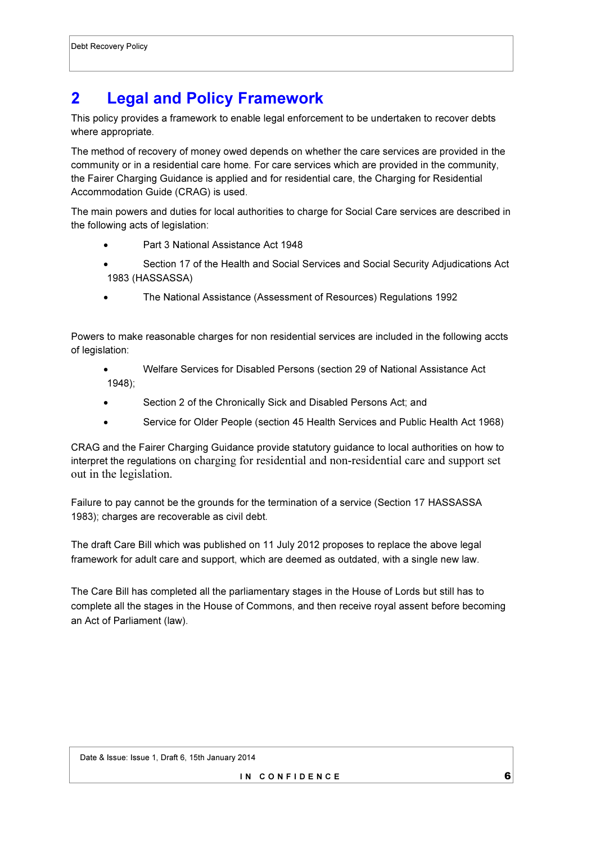## 2 Legal and Policy Framework

This policy provides a framework to enable legal enforcement to be undertaken to recover debts where appropriate.

The method of recovery of money owed depends on whether the care services are provided in the community or in a residential care home. For care services which are provided in the community, the Fairer Charging Guidance is applied and for residential care, the Charging for Residential Accommodation Guide (CRAG) is used.

The main powers and duties for local authorities to charge for Social Care services are described in the following acts of legislation:

- Part 3 National Assistance Act 1948
- Section 17 of the Health and Social Services and Social Security Adjudications Act 1983 (HASSASSA)
- The National Assistance (Assessment of Resources) Regulations 1992

Powers to make reasonable charges for non residential services are included in the following accts of legislation:

- Welfare Services for Disabled Persons (section 29 of National Assistance Act 1948);
- Section 2 of the Chronically Sick and Disabled Persons Act; and
- Service for Older People (section 45 Health Services and Public Health Act 1968)

CRAG and the Fairer Charging Guidance provide statutory guidance to local authorities on how to interpret the regulations on charging for residential and non-residential care and support set out in the legislation.

Failure to pay cannot be the grounds for the termination of a service (Section 17 HASSASSA 1983); charges are recoverable as civil debt.

The draft Care Bill which was published on 11 July 2012 proposes to replace the above legal framework for adult care and support, which are deemed as outdated, with a single new law.

The Care Bill has completed all the parliamentary stages in the House of Lords but still has to complete all the stages in the House of Commons, and then receive royal assent before becoming an Act of Parliament (law).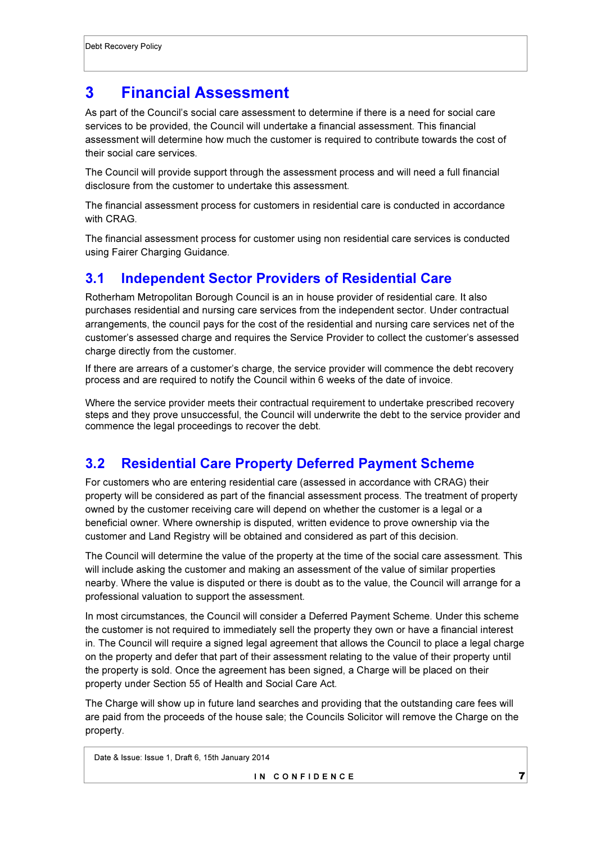## 3 Financial Assessment

As part of the Council's social care assessment to determine if there is a need for social care services to be provided, the Council will undertake a financial assessment. This financial assessment will determine how much the customer is required to contribute towards the cost of their social care services.

The Council will provide support through the assessment process and will need a full financial disclosure from the customer to undertake this assessment.

The financial assessment process for customers in residential care is conducted in accordance with CRAG.

The financial assessment process for customer using non residential care services is conducted using Fairer Charging Guidance.

### 3.1 Independent Sector Providers of Residential Care

Rotherham Metropolitan Borough Council is an in house provider of residential care. It also purchases residential and nursing care services from the independent sector. Under contractual arrangements, the council pays for the cost of the residential and nursing care services net of the customer's assessed charge and requires the Service Provider to collect the customer's assessed charge directly from the customer.

If there are arrears of a customer's charge, the service provider will commence the debt recovery process and are required to notify the Council within 6 weeks of the date of invoice.

Where the service provider meets their contractual requirement to undertake prescribed recovery steps and they prove unsuccessful, the Council will underwrite the debt to the service provider and commence the legal proceedings to recover the debt.

## 3.2 Residential Care Property Deferred Payment Scheme

For customers who are entering residential care (assessed in accordance with CRAG) their property will be considered as part of the financial assessment process. The treatment of property owned by the customer receiving care will depend on whether the customer is a legal or a beneficial owner. Where ownership is disputed, written evidence to prove ownership via the customer and Land Registry will be obtained and considered as part of this decision.

The Council will determine the value of the property at the time of the social care assessment. This will include asking the customer and making an assessment of the value of similar properties nearby. Where the value is disputed or there is doubt as to the value, the Council will arrange for a professional valuation to support the assessment.

In most circumstances, the Council will consider a Deferred Payment Scheme. Under this scheme the customer is not required to immediately sell the property they own or have a financial interest in. The Council will require a signed legal agreement that allows the Council to place a legal charge on the property and defer that part of their assessment relating to the value of their property until the property is sold. Once the agreement has been signed, a Charge will be placed on their property under Section 55 of Health and Social Care Act.

The Charge will show up in future land searches and providing that the outstanding care fees will are paid from the proceeds of the house sale; the Councils Solicitor will remove the Charge on the property.

Date & Issue: Issue 1, Draft 6, 15th January 2014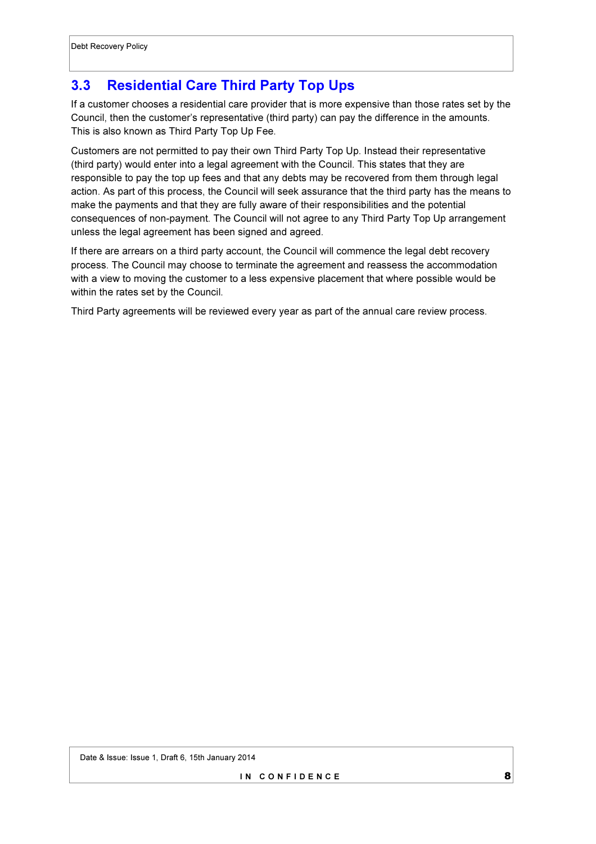## 3.3 Residential Care Third Party Top Ups

If a customer chooses a residential care provider that is more expensive than those rates set by the Council, then the customer's representative (third party) can pay the difference in the amounts. This is also known as Third Party Top Up Fee.

Customers are not permitted to pay their own Third Party Top Up. Instead their representative (third party) would enter into a legal agreement with the Council. This states that they are responsible to pay the top up fees and that any debts may be recovered from them through legal action. As part of this process, the Council will seek assurance that the third party has the means to make the payments and that they are fully aware of their responsibilities and the potential consequences of non-payment. The Council will not agree to any Third Party Top Up arrangement unless the legal agreement has been signed and agreed.

If there are arrears on a third party account, the Council will commence the legal debt recovery process. The Council may choose to terminate the agreement and reassess the accommodation with a view to moving the customer to a less expensive placement that where possible would be within the rates set by the Council.

Third Party agreements will be reviewed every year as part of the annual care review process.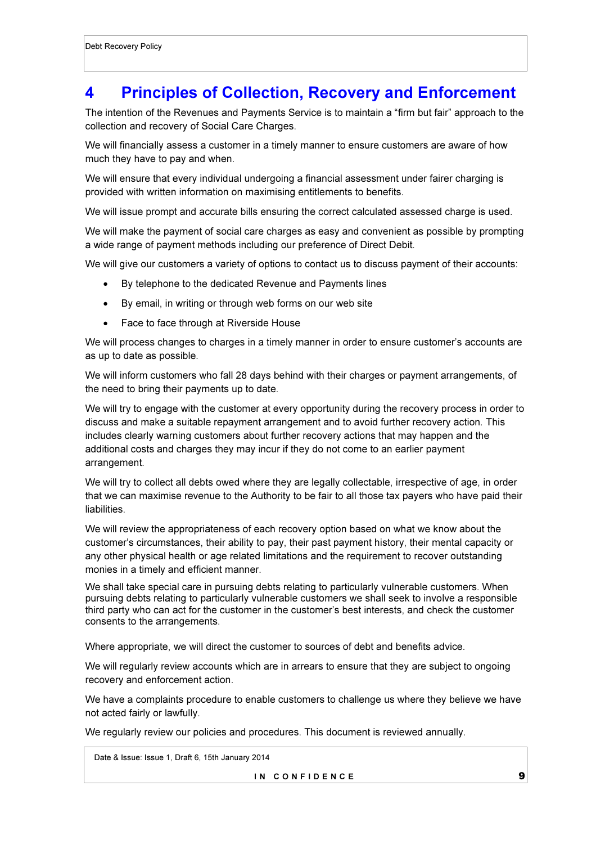## 4 Principles of Collection, Recovery and Enforcement

The intention of the Revenues and Payments Service is to maintain a "firm but fair" approach to the collection and recovery of Social Care Charges.

We will financially assess a customer in a timely manner to ensure customers are aware of how much they have to pay and when.

We will ensure that every individual undergoing a financial assessment under fairer charging is provided with written information on maximising entitlements to benefits.

We will issue prompt and accurate bills ensuring the correct calculated assessed charge is used.

We will make the payment of social care charges as easy and convenient as possible by prompting a wide range of payment methods including our preference of Direct Debit.

We will give our customers a variety of options to contact us to discuss payment of their accounts:

- By telephone to the dedicated Revenue and Payments lines
- By email, in writing or through web forms on our web site
- Face to face through at Riverside House

We will process changes to charges in a timely manner in order to ensure customer's accounts are as up to date as possible.

We will inform customers who fall 28 days behind with their charges or payment arrangements, of the need to bring their payments up to date.

We will try to engage with the customer at every opportunity during the recovery process in order to discuss and make a suitable repayment arrangement and to avoid further recovery action. This includes clearly warning customers about further recovery actions that may happen and the additional costs and charges they may incur if they do not come to an earlier payment arrangement.

We will try to collect all debts owed where they are legally collectable, irrespective of age, in order that we can maximise revenue to the Authority to be fair to all those tax payers who have paid their liabilities.

We will review the appropriateness of each recovery option based on what we know about the customer's circumstances, their ability to pay, their past payment history, their mental capacity or any other physical health or age related limitations and the requirement to recover outstanding monies in a timely and efficient manner.

We shall take special care in pursuing debts relating to particularly vulnerable customers. When pursuing debts relating to particularly vulnerable customers we shall seek to involve a responsible third party who can act for the customer in the customer's best interests, and check the customer consents to the arrangements.

Where appropriate, we will direct the customer to sources of debt and benefits advice.

We will regularly review accounts which are in arrears to ensure that they are subject to ongoing recovery and enforcement action.

We have a complaints procedure to enable customers to challenge us where they believe we have not acted fairly or lawfully.

We regularly review our policies and procedures. This document is reviewed annually.

Date & Issue: Issue 1, Draft 6, 15th January 2014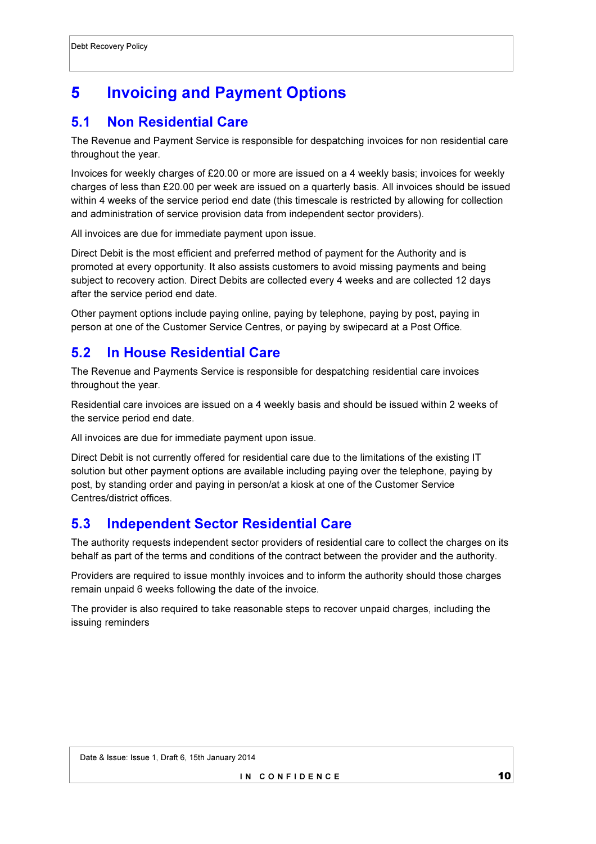# 5 Invoicing and Payment Options

## 5.1 Non Residential Care

The Revenue and Payment Service is responsible for despatching invoices for non residential care throughout the year.

Invoices for weekly charges of £20.00 or more are issued on a 4 weekly basis; invoices for weekly charges of less than £20.00 per week are issued on a quarterly basis. All invoices should be issued within 4 weeks of the service period end date (this timescale is restricted by allowing for collection and administration of service provision data from independent sector providers).

All invoices are due for immediate payment upon issue.

Direct Debit is the most efficient and preferred method of payment for the Authority and is promoted at every opportunity. It also assists customers to avoid missing payments and being subject to recovery action. Direct Debits are collected every 4 weeks and are collected 12 days after the service period end date.

Other payment options include paying online, paying by telephone, paying by post, paying in person at one of the Customer Service Centres, or paying by swipecard at a Post Office.

### 5.2 In House Residential Care

The Revenue and Payments Service is responsible for despatching residential care invoices throughout the year.

Residential care invoices are issued on a 4 weekly basis and should be issued within 2 weeks of the service period end date.

All invoices are due for immediate payment upon issue.

Direct Debit is not currently offered for residential care due to the limitations of the existing IT solution but other payment options are available including paying over the telephone, paying by post, by standing order and paying in person/at a kiosk at one of the Customer Service Centres/district offices.

### 5.3 Independent Sector Residential Care

The authority requests independent sector providers of residential care to collect the charges on its behalf as part of the terms and conditions of the contract between the provider and the authority.

Providers are required to issue monthly invoices and to inform the authority should those charges remain unpaid 6 weeks following the date of the invoice.

The provider is also required to take reasonable steps to recover unpaid charges, including the issuing reminders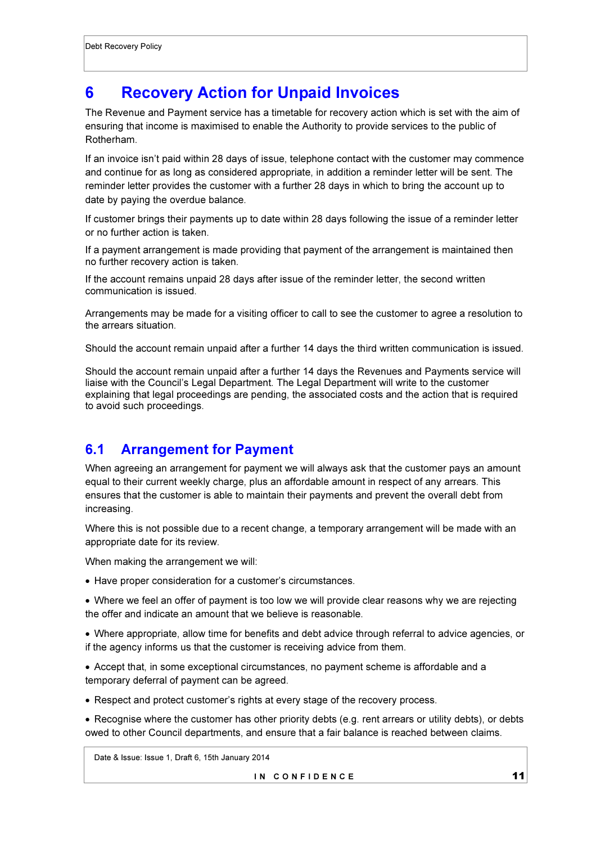## 6 Recovery Action for Unpaid Invoices

The Revenue and Payment service has a timetable for recovery action which is set with the aim of ensuring that income is maximised to enable the Authority to provide services to the public of Rotherham.

If an invoice isn't paid within 28 days of issue, telephone contact with the customer may commence and continue for as long as considered appropriate, in addition a reminder letter will be sent. The reminder letter provides the customer with a further 28 days in which to bring the account up to date by paying the overdue balance.

If customer brings their payments up to date within 28 days following the issue of a reminder letter or no further action is taken.

If a payment arrangement is made providing that payment of the arrangement is maintained then no further recovery action is taken.

If the account remains unpaid 28 days after issue of the reminder letter, the second written communication is issued.

Arrangements may be made for a visiting officer to call to see the customer to agree a resolution to the arrears situation.

Should the account remain unpaid after a further 14 days the third written communication is issued.

Should the account remain unpaid after a further 14 days the Revenues and Payments service will liaise with the Council's Legal Department. The Legal Department will write to the customer explaining that legal proceedings are pending, the associated costs and the action that is required to avoid such proceedings.

### 6.1 Arrangement for Payment

When agreeing an arrangement for payment we will always ask that the customer pays an amount equal to their current weekly charge, plus an affordable amount in respect of any arrears. This ensures that the customer is able to maintain their payments and prevent the overall debt from increasing.

Where this is not possible due to a recent change, a temporary arrangement will be made with an appropriate date for its review.

When making the arrangement we will:

• Have proper consideration for a customer's circumstances.

• Where we feel an offer of payment is too low we will provide clear reasons why we are rejecting the offer and indicate an amount that we believe is reasonable.

• Where appropriate, allow time for benefits and debt advice through referral to advice agencies, or if the agency informs us that the customer is receiving advice from them.

• Accept that, in some exceptional circumstances, no payment scheme is affordable and a temporary deferral of payment can be agreed.

• Respect and protect customer's rights at every stage of the recovery process.

• Recognise where the customer has other priority debts (e.g. rent arrears or utility debts), or debts owed to other Council departments, and ensure that a fair balance is reached between claims.

Date & Issue: Issue 1, Draft 6, 15th January 2014

IN CONFIDENCE<sup>11</sup>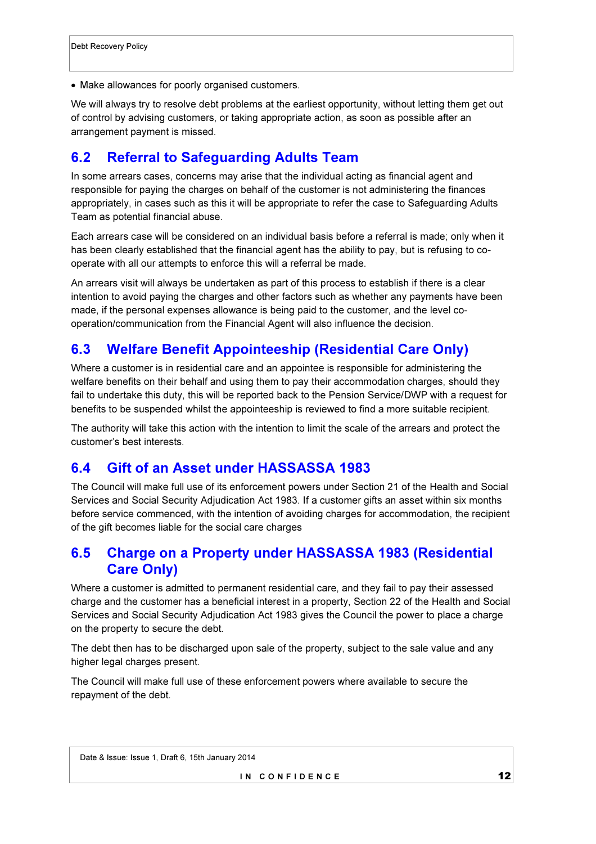• Make allowances for poorly organised customers.

We will always try to resolve debt problems at the earliest opportunity, without letting them get out of control by advising customers, or taking appropriate action, as soon as possible after an arrangement payment is missed.

### 6.2 Referral to Safeguarding Adults Team

In some arrears cases, concerns may arise that the individual acting as financial agent and responsible for paying the charges on behalf of the customer is not administering the finances appropriately, in cases such as this it will be appropriate to refer the case to Safeguarding Adults Team as potential financial abuse.

Each arrears case will be considered on an individual basis before a referral is made; only when it has been clearly established that the financial agent has the ability to pay, but is refusing to cooperate with all our attempts to enforce this will a referral be made.

An arrears visit will always be undertaken as part of this process to establish if there is a clear intention to avoid paying the charges and other factors such as whether any payments have been made, if the personal expenses allowance is being paid to the customer, and the level cooperation/communication from the Financial Agent will also influence the decision.

#### 6.3 Welfare Benefit Appointeeship (Residential Care Only)

Where a customer is in residential care and an appointee is responsible for administering the welfare benefits on their behalf and using them to pay their accommodation charges, should they fail to undertake this duty, this will be reported back to the Pension Service/DWP with a request for benefits to be suspended whilst the appointeeship is reviewed to find a more suitable recipient.

The authority will take this action with the intention to limit the scale of the arrears and protect the customer's best interests.

#### 6.4 Gift of an Asset under HASSASSA 1983

The Council will make full use of its enforcement powers under Section 21 of the Health and Social Services and Social Security Adjudication Act 1983. If a customer gifts an asset within six months before service commenced, with the intention of avoiding charges for accommodation, the recipient of the gift becomes liable for the social care charges

### 6.5 Charge on a Property under HASSASSA 1983 (Residential Care Only)

Where a customer is admitted to permanent residential care, and they fail to pay their assessed charge and the customer has a beneficial interest in a property, Section 22 of the Health and Social Services and Social Security Adjudication Act 1983 gives the Council the power to place a charge on the property to secure the debt.

The debt then has to be discharged upon sale of the property, subject to the sale value and any higher legal charges present.

The Council will make full use of these enforcement powers where available to secure the repayment of the debt.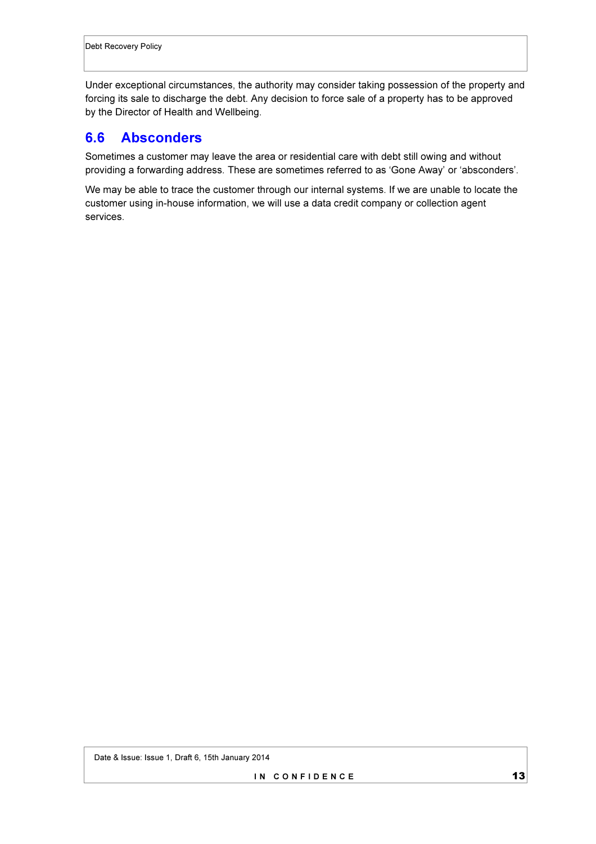Under exceptional circumstances, the authority may consider taking possession of the property and forcing its sale to discharge the debt. Any decision to force sale of a property has to be approved by the Director of Health and Wellbeing.

#### 6.6 Absconders

Sometimes a customer may leave the area or residential care with debt still owing and without providing a forwarding address. These are sometimes referred to as 'Gone Away' or 'absconders'.

We may be able to trace the customer through our internal systems. If we are unable to locate the customer using in-house information, we will use a data credit company or collection agent services.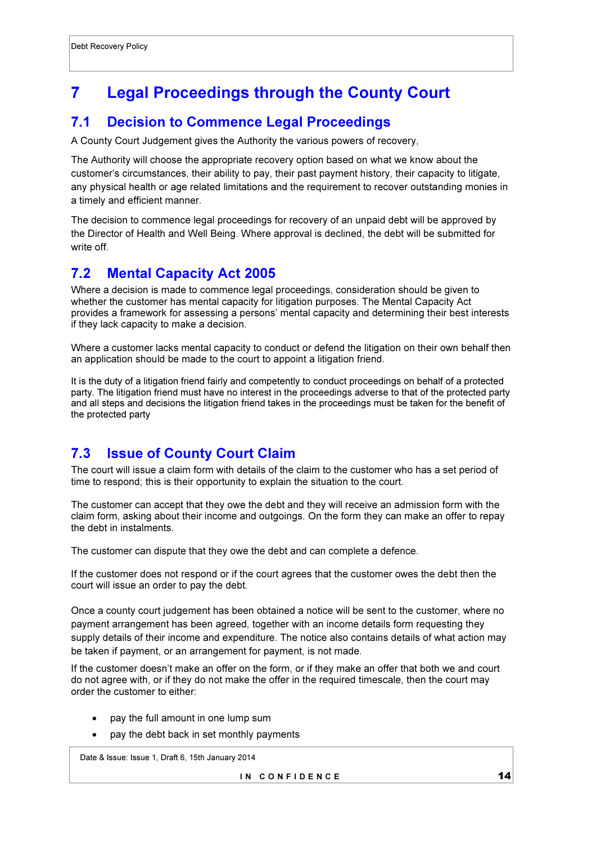# 7 Legal Proceedings through the County Court

### 7.1 Decision to Commence Legal Proceedings

A County Court Judgement gives the Authority the various powers of recovery,

The Authority will choose the appropriate recovery option based on what we know about the customer's circumstances, their ability to pay, their past payment history, their capacity to litigate, any physical health or age related limitations and the requirement to recover outstanding monies in a timely and efficient manner.

The decision to commence legal proceedings for recovery of an unpaid debt will be approved by the Director of Health and Well Being. Where approval is declined, the debt will be submitted for write off.

### 7.2 Mental Capacity Act 2005

Where a decision is made to commence legal proceedings, consideration should be given to whether the customer has mental capacity for litigation purposes. The Mental Capacity Act provides a framework for assessing a persons' mental capacity and determining their best interests if they lack capacity to make a decision.

Where a customer lacks mental capacity to conduct or defend the litigation on their own behalf then an application should be made to the court to appoint a litigation friend.

It is the duty of a litigation friend fairly and competently to conduct proceedings on behalf of a protected party. The litigation friend must have no interest in the proceedings adverse to that of the protected party and all steps and decisions the litigation friend takes in the proceedings must be taken for the benefit of the protected party

## 7.3 Issue of County Court Claim

The court will issue a claim form with details of the claim to the customer who has a set period of time to respond; this is their opportunity to explain the situation to the court.

The customer can accept that they owe the debt and they will receive an admission form with the claim form, asking about their income and outgoings. On the form they can make an offer to repay the debt in instalments.

The customer can dispute that they owe the debt and can complete a defence.

If the customer does not respond or if the court agrees that the customer owes the debt then the court will issue an order to pay the debt.

Once a county court judgement has been obtained a notice will be sent to the customer, where no payment arrangement has been agreed, together with an income details form requesting they supply details of their income and expenditure. The notice also contains details of what action may be taken if payment, or an arrangement for payment, is not made.

If the customer doesn't make an offer on the form, or if they make an offer that both we and court do not agree with, or if they do not make the offer in the required timescale, then the court may order the customer to either:

- pay the full amount in one lump sum
- pay the debt back in set monthly payments

Date & Issue: Issue 1, Draft 6, 15th January 2014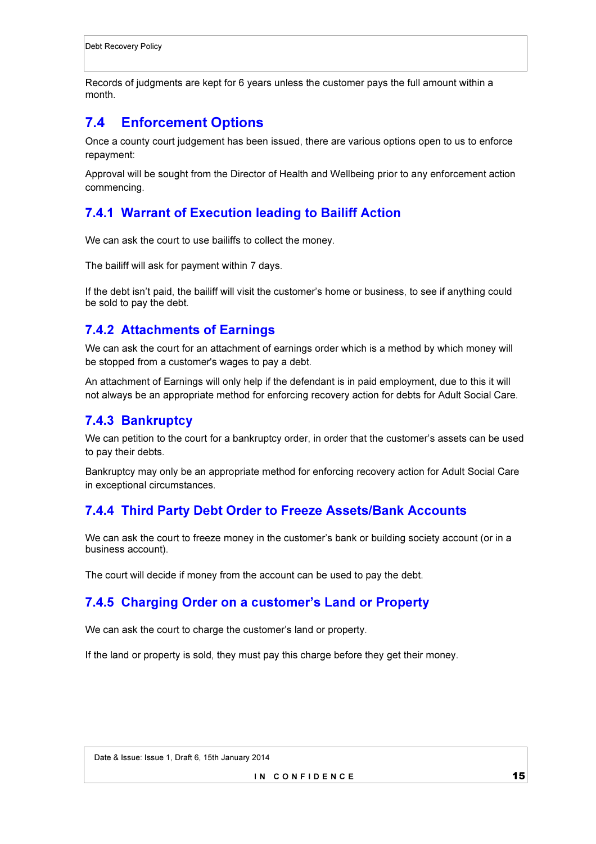Records of judgments are kept for 6 years unless the customer pays the full amount within a month.

## 7.4 Enforcement Options

Once a county court judgement has been issued, there are various options open to us to enforce repayment:

Approval will be sought from the Director of Health and Wellbeing prior to any enforcement action commencing.

#### 7.4.1 Warrant of Execution leading to Bailiff Action

We can ask the court to use bailiffs to collect the money.

The bailiff will ask for payment within 7 days.

If the debt isn't paid, the bailiff will visit the customer's home or business, to see if anything could be sold to pay the debt.

#### 7.4.2 Attachments of Earnings

We can ask the court for an attachment of earnings order which is a method by which money will be stopped from a customer's wages to pay a debt.

An attachment of Earnings will only help if the defendant is in paid employment, due to this it will not always be an appropriate method for enforcing recovery action for debts for Adult Social Care.

#### 7.4.3 Bankruptcy

We can petition to the court for a bankruptcy order, in order that the customer's assets can be used to pay their debts.

Bankruptcy may only be an appropriate method for enforcing recovery action for Adult Social Care in exceptional circumstances.

### 7.4.4 Third Party Debt Order to Freeze Assets/Bank Accounts

We can ask the court to freeze money in the customer's bank or building society account (or in a business account).

The court will decide if money from the account can be used to pay the debt.

### 7.4.5 Charging Order on a customer's Land or Property

We can ask the court to charge the customer's land or property.

If the land or property is sold, they must pay this charge before they get their money.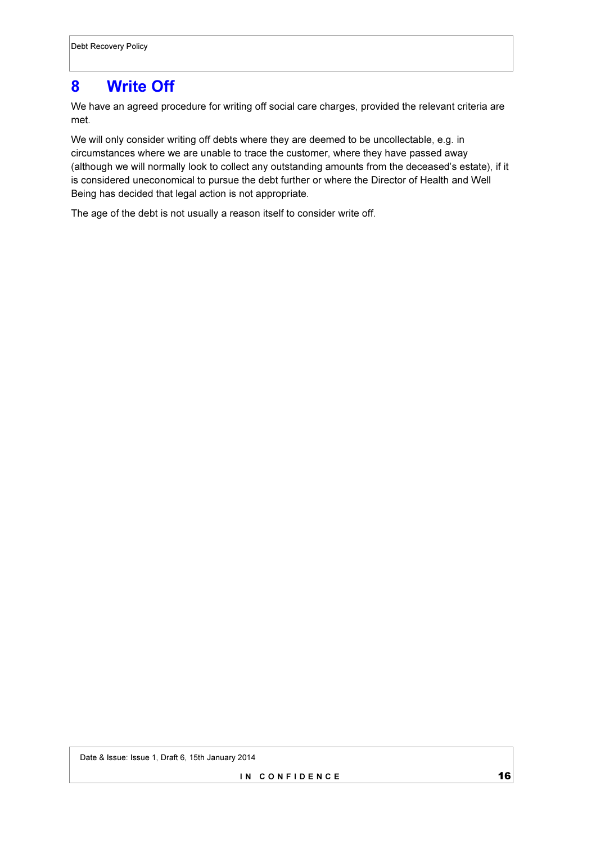## 8 Write Off

We have an agreed procedure for writing off social care charges, provided the relevant criteria are met.

We will only consider writing off debts where they are deemed to be uncollectable, e.g. in circumstances where we are unable to trace the customer, where they have passed away (although we will normally look to collect any outstanding amounts from the deceased's estate), if it is considered uneconomical to pursue the debt further or where the Director of Health and Well Being has decided that legal action is not appropriate.

The age of the debt is not usually a reason itself to consider write off.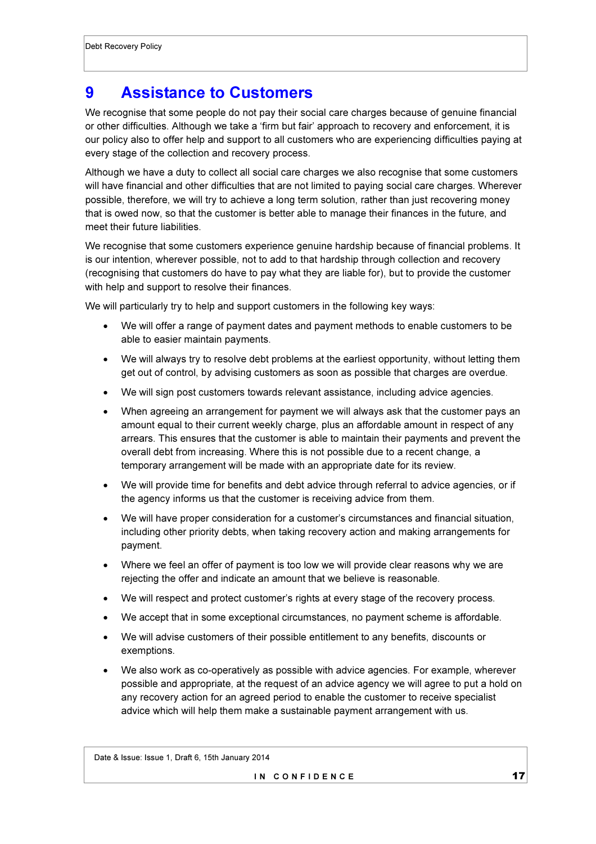## 9 Assistance to Customers

We recognise that some people do not pay their social care charges because of genuine financial or other difficulties. Although we take a 'firm but fair' approach to recovery and enforcement, it is our policy also to offer help and support to all customers who are experiencing difficulties paying at every stage of the collection and recovery process.

Although we have a duty to collect all social care charges we also recognise that some customers will have financial and other difficulties that are not limited to paying social care charges. Wherever possible, therefore, we will try to achieve a long term solution, rather than just recovering money that is owed now, so that the customer is better able to manage their finances in the future, and meet their future liabilities.

We recognise that some customers experience genuine hardship because of financial problems. It is our intention, wherever possible, not to add to that hardship through collection and recovery (recognising that customers do have to pay what they are liable for), but to provide the customer with help and support to resolve their finances.

We will particularly try to help and support customers in the following key ways:

- We will offer a range of payment dates and payment methods to enable customers to be able to easier maintain payments.
- We will always try to resolve debt problems at the earliest opportunity, without letting them get out of control, by advising customers as soon as possible that charges are overdue.
- We will sign post customers towards relevant assistance, including advice agencies.
- When agreeing an arrangement for payment we will always ask that the customer pays an amount equal to their current weekly charge, plus an affordable amount in respect of any arrears. This ensures that the customer is able to maintain their payments and prevent the overall debt from increasing. Where this is not possible due to a recent change, a temporary arrangement will be made with an appropriate date for its review.
- We will provide time for benefits and debt advice through referral to advice agencies, or if the agency informs us that the customer is receiving advice from them.
- We will have proper consideration for a customer's circumstances and financial situation, including other priority debts, when taking recovery action and making arrangements for payment.
- Where we feel an offer of payment is too low we will provide clear reasons why we are rejecting the offer and indicate an amount that we believe is reasonable.
- We will respect and protect customer's rights at every stage of the recovery process.
- We accept that in some exceptional circumstances, no payment scheme is affordable.
- We will advise customers of their possible entitlement to any benefits, discounts or exemptions.
- We also work as co-operatively as possible with advice agencies. For example, wherever possible and appropriate, at the request of an advice agency we will agree to put a hold on any recovery action for an agreed period to enable the customer to receive specialist advice which will help them make a sustainable payment arrangement with us.

Date & Issue: Issue 1, Draft 6, 15th January 2014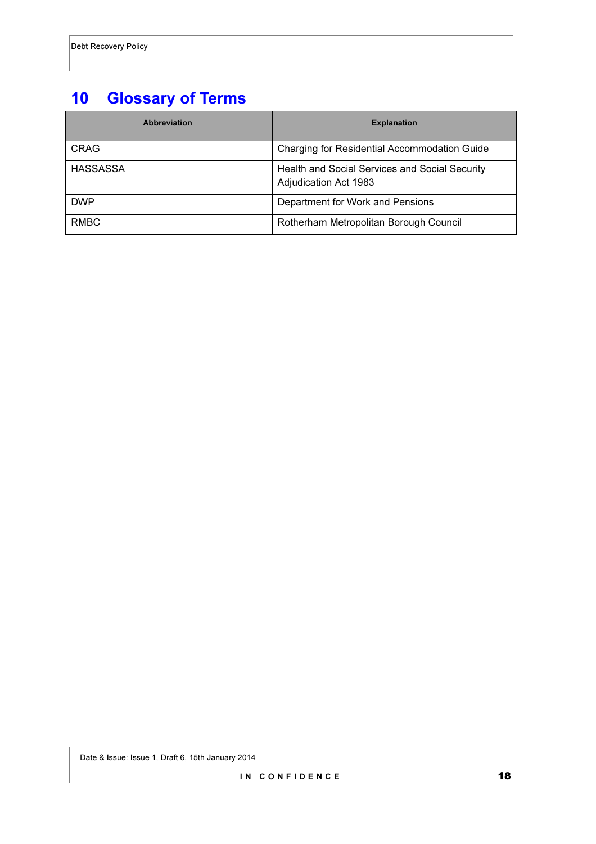# 10 Glossary of Terms

| <b>Abbreviation</b> | <b>Explanation</b>                                                      |
|---------------------|-------------------------------------------------------------------------|
| CRAG                | Charging for Residential Accommodation Guide                            |
| <b>HASSASSA</b>     | Health and Social Services and Social Security<br>Adjudication Act 1983 |
| <b>DWP</b>          | Department for Work and Pensions                                        |
| <b>RMBC</b>         | Rotherham Metropolitan Borough Council                                  |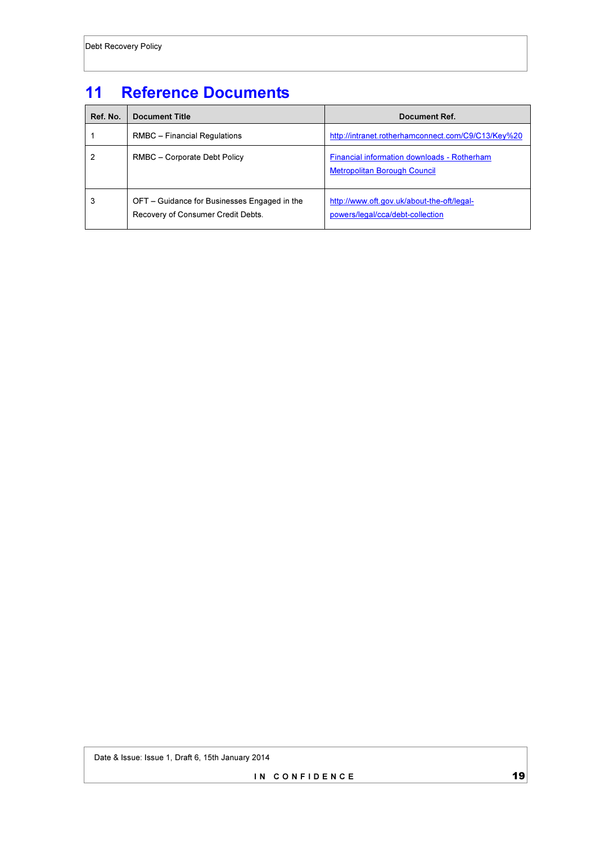# 11 Reference Documents

| Ref. No. | <b>Document Title</b>                                                              | Document Ref.                                                                      |
|----------|------------------------------------------------------------------------------------|------------------------------------------------------------------------------------|
|          | RMBC - Financial Regulations                                                       | http://intranet.rotherhamconnect.com/C9/C13/Key%20                                 |
| 2        | RMBC - Corporate Debt Policy                                                       | Financial information downloads - Rotherham<br><b>Metropolitan Borough Council</b> |
| 3        | OFT – Guidance for Businesses Engaged in the<br>Recovery of Consumer Credit Debts. | http://www.oft.gov.uk/about-the-oft/legal-<br>powers/legal/cca/debt-collection     |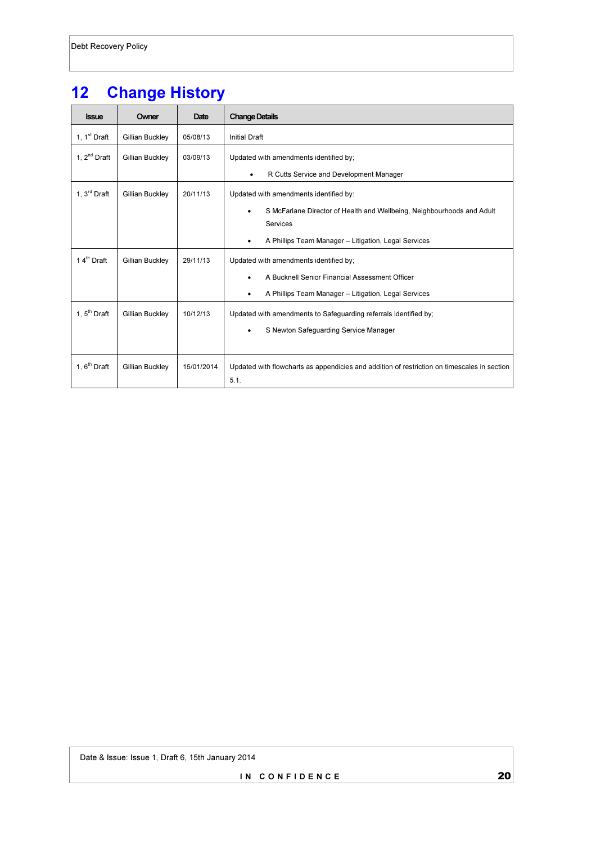# 12 Change History

| <b>Issue</b>             | Owner           | Date       | <b>Change Details</b>                                                                               |
|--------------------------|-----------------|------------|-----------------------------------------------------------------------------------------------------|
| 1, $1st$ Draft           | Gillian Buckley | 05/08/13   | <b>Initial Draft</b>                                                                                |
| 1, $2^{nd}$ Draft        | Gillian Buckley | 03/09/13   | Updated with amendments identified by;                                                              |
|                          |                 |            | R Cutts Service and Development Manager<br>$\bullet$                                                |
| 1, $3^{\text{rd}}$ Draft | Gillian Buckley | 20/11/13   | Updated with amendments identified by:                                                              |
|                          |                 |            | S McFarlane Director of Health and Wellbeing, Neighbourhoods and Adult<br>٠                         |
|                          |                 |            | Services                                                                                            |
|                          |                 |            | A Phillips Team Manager - Litigation, Legal Services<br>$\bullet$                                   |
| 14th Draft               | Gillian Buckley | 29/11/13   | Updated with amendments identified by;                                                              |
|                          |                 |            | A Bucknell Senior Financial Assessment Officer<br>٠                                                 |
|                          |                 |            | A Phillips Team Manager - Litigation, Legal Services<br>$\bullet$                                   |
| 1. $5th$ Draft           | Gillian Buckley | 10/12/13   | Updated with amendments to Safeguarding referrals identified by;                                    |
|                          |                 |            | S Newton Safeguarding Service Manager<br>٠                                                          |
|                          |                 |            |                                                                                                     |
| 1, $6th$ Draft           | Gillian Buckley | 15/01/2014 | Updated with flowcharts as appendicies and addition of restriction on timescales in section<br>5.1. |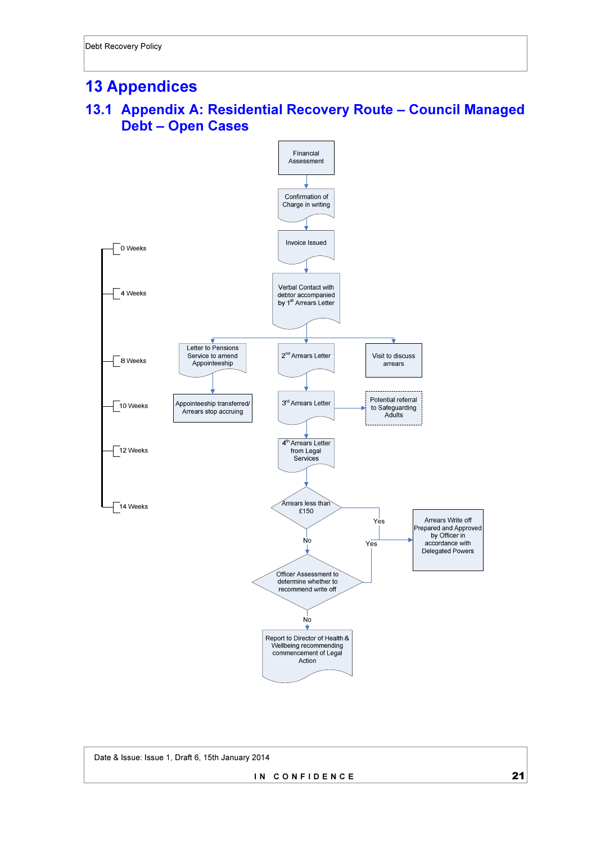## 13 Appendices

### 13.1 Appendix A: Residential Recovery Route – Council Managed Debt – Open Cases



 Date & Issue: Issue 1, Draft 6, 15th January 2014 IN CONFIDENCE 21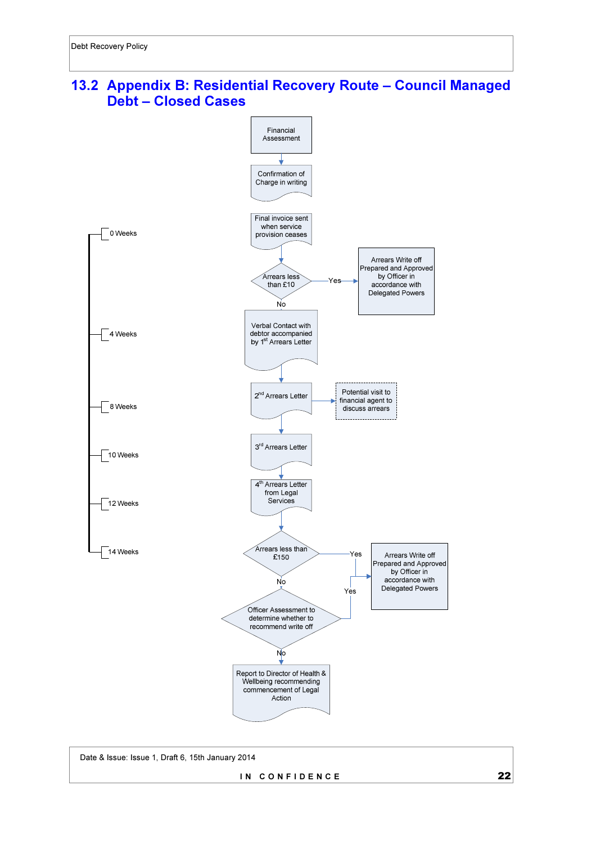### 13.2 Appendix B: Residential Recovery Route – Council Managed Debt – Closed Cases



Date & Issue: Issue 1, Draft 6, 15th January 2014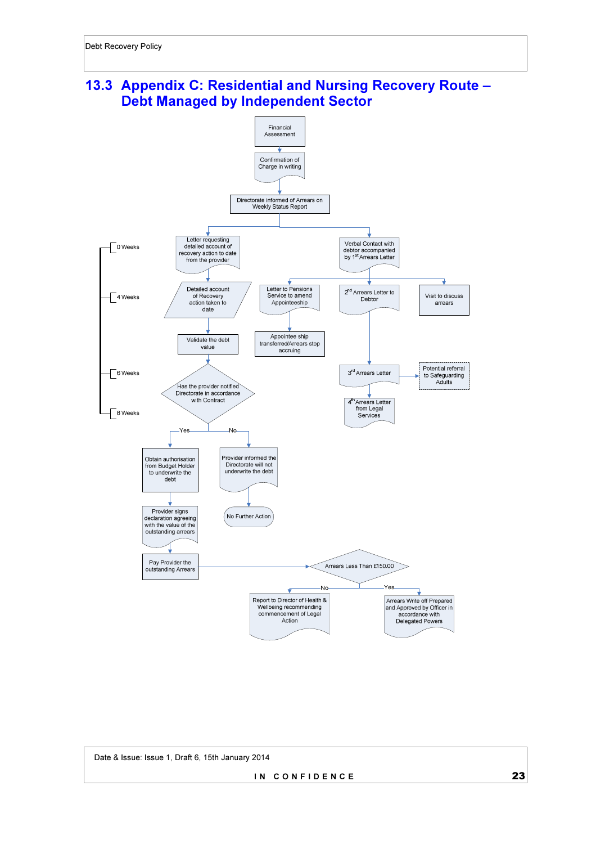## 13.3 Appendix C: Residential and Nursing Recovery Route – Debt Managed by Independent Sector

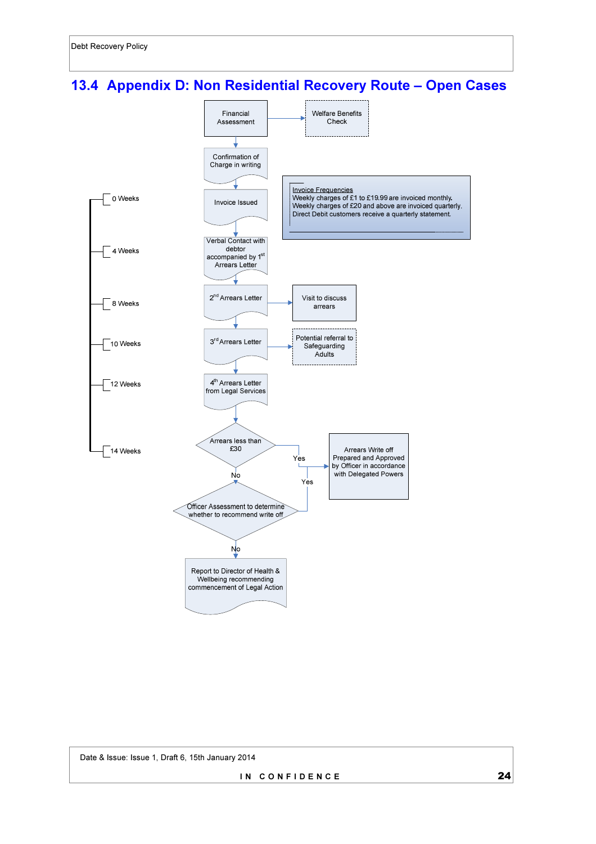# 13.4 Appendix D: Non Residential Recovery Route – Open Cases